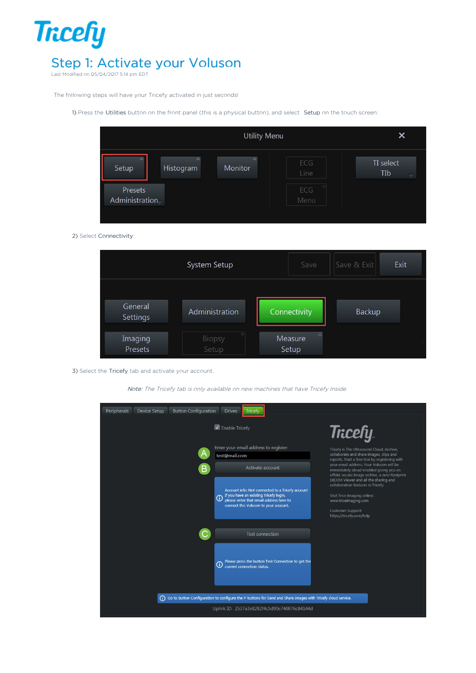

Last Modified on 05/04/2017 5:14 pm EDT

The following steps will have your Tricefy activated in just seconds!

1) Press the Utilities button on the front panel (this is a physical button), and select Setup on the touch screen:

|                           | <b>Utility Menu</b>   |                     |             | X                |
|---------------------------|-----------------------|---------------------|-------------|------------------|
| $\equiv$<br>Setup         | $\equiv$<br>Histogram | $\equiv$<br>Monitor | ECG<br>Line | TI select<br>TIb |
| Presets<br>Administration |                       |                     | ECG<br>Menu |                  |

2) Select Connectivity:

|                     | System Setup         | Save                         | Save & Exit | Exit |
|---------------------|----------------------|------------------------------|-------------|------|
| General<br>Settings | Administration       | Connectivity                 | Backup      |      |
| Imaging<br>Presets  | Ξ<br>Biopsy<br>Setup | $\equiv$<br>Measure<br>Setup |             |      |

3) Select the Tricefy tab and activate your account.